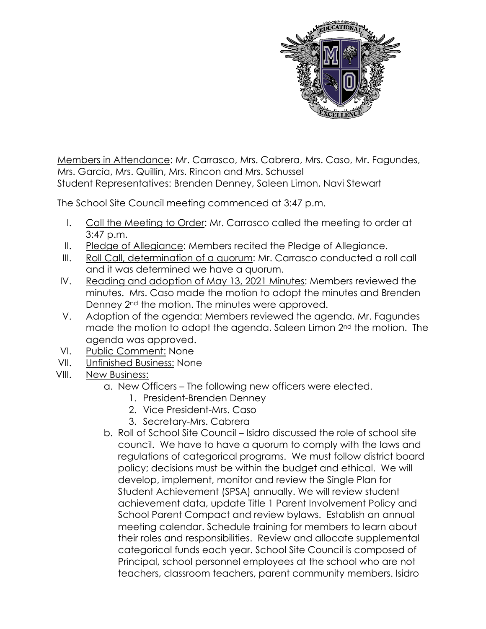

Members in Attendance: Mr. Carrasco, Mrs. Cabrera, Mrs. Caso, Mr. Fagundes, Mrs. Garcia, Mrs. Quillin, Mrs. Rincon and Mrs. Schussel Student Representatives: Brenden Denney, Saleen Limon, Navi Stewart

The School Site Council meeting commenced at 3:47 p.m.

- I. Call the Meeting to Order: Mr. Carrasco called the meeting to order at 3:47 p.m.
- II. Pledge of Allegiance: Members recited the Pledge of Allegiance.
- III. Roll Call, determination of a quorum: Mr. Carrasco conducted a roll call and it was determined we have a quorum.
- IV. Reading and adoption of May 13, 2021 Minutes: Members reviewed the minutes. Mrs. Caso made the motion to adopt the minutes and Brenden Denney 2nd the motion. The minutes were approved.
- V. Adoption of the agenda: Members reviewed the agenda. Mr. Fagundes made the motion to adopt the agenda. Saleen Limon 2<sup>nd</sup> the motion. The agenda was approved.
- VI. Public Comment: None
- VII. Unfinished Business: None
- VIII. New Business:
	- a. New Officers The following new officers were elected.
		- 1. President-Brenden Denney
		- 2. Vice President-Mrs. Caso
		- 3. Secretary-Mrs. Cabrera
	- b. Roll of School Site Council Isidro discussed the role of school site council. We have to have a quorum to comply with the laws and regulations of categorical programs. We must follow district board policy; decisions must be within the budget and ethical. We will develop, implement, monitor and review the Single Plan for Student Achievement (SPSA) annually. We will review student achievement data, update Title 1 Parent Involvement Policy and School Parent Compact and review bylaws. Establish an annual meeting calendar. Schedule training for members to learn about their roles and responsibilities. Review and allocate supplemental categorical funds each year. School Site Council is composed of Principal, school personnel employees at the school who are not teachers, classroom teachers, parent community members. Isidro